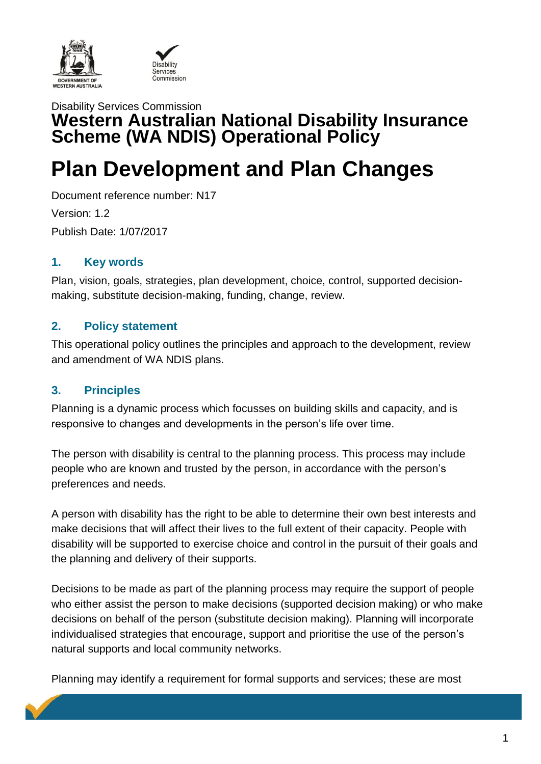



## Disability Services Commission **Western Australian National Disability Insurance Scheme (WA NDIS) Operational Policy**

# **Plan Development and Plan Changes**

Document reference number: N17 Version: 1.2 Publish Date: 1/07/2017

## **1. Key words**

Plan, vision, goals, strategies, plan development, choice, control, supported decisionmaking, substitute decision-making, funding, change, review.

## **2. Policy statement**

This operational policy outlines the principles and approach to the development, review and amendment of WA NDIS plans.

## **3. Principles**

Planning is a dynamic process which focusses on building skills and capacity, and is responsive to changes and developments in the person's life over time.

The person with disability is central to the planning process. This process may include people who are known and trusted by the person, in accordance with the person's preferences and needs.

A person with disability has the right to be able to determine their own best interests and make decisions that will affect their lives to the full extent of their capacity. People with disability will be supported to exercise choice and control in the pursuit of their goals and the planning and delivery of their supports.

Decisions to be made as part of the planning process may require the support of people who either assist the person to make decisions (supported decision making) or who make decisions on behalf of the person (substitute decision making). Planning will incorporate individualised strategies that encourage, support and prioritise the use of the person's natural supports and local community networks.

Planning may identify a requirement for formal supports and services; these are most

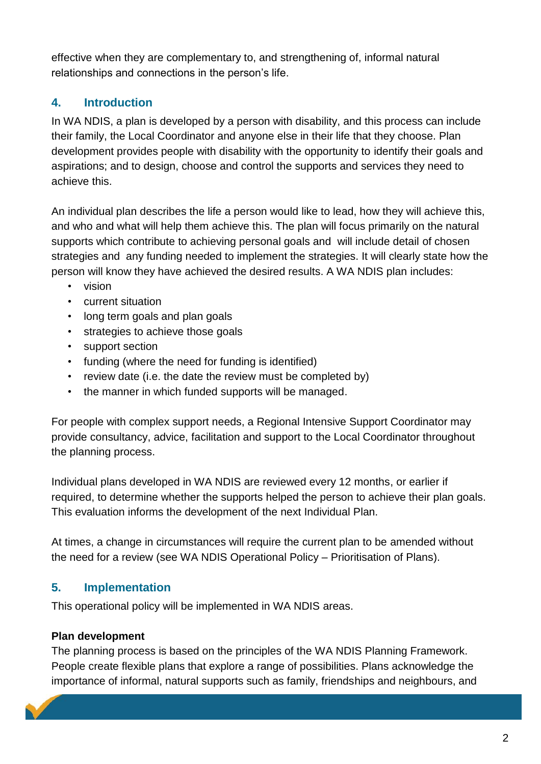effective when they are complementary to, and strengthening of, informal natural relationships and connections in the person's life.

## **4. Introduction**

In WA NDIS, a plan is developed by a person with disability, and this process can include their family, the Local Coordinator and anyone else in their life that they choose. Plan development provides people with disability with the opportunity to identify their goals and aspirations; and to design, choose and control the supports and services they need to achieve this.

An individual plan describes the life a person would like to lead, how they will achieve this, and who and what will help them achieve this. The plan will focus primarily on the natural supports which contribute to achieving personal goals and will include detail of chosen strategies and any funding needed to implement the strategies. It will clearly state how the person will know they have achieved the desired results. A WA NDIS plan includes:

- vision
- current situation
- long term goals and plan goals
- strategies to achieve those goals
- support section
- funding (where the need for funding is identified)
- review date (i.e. the date the review must be completed by)
- the manner in which funded supports will be managed.

For people with complex support needs, a Regional Intensive Support Coordinator may provide consultancy, advice, facilitation and support to the Local Coordinator throughout the planning process.

Individual plans developed in WA NDIS are reviewed every 12 months, or earlier if required, to determine whether the supports helped the person to achieve their plan goals. This evaluation informs the development of the next Individual Plan.

At times, a change in circumstances will require the current plan to be amended without the need for a review (see WA NDIS Operational Policy – Prioritisation of Plans).

## **5. Implementation**

This operational policy will be implemented in WA NDIS areas.

#### **Plan development**

The planning process is based on the principles of the WA NDIS Planning Framework. People create flexible plans that explore a range of possibilities. Plans acknowledge the importance of informal, natural supports such as family, friendships and neighbours, and

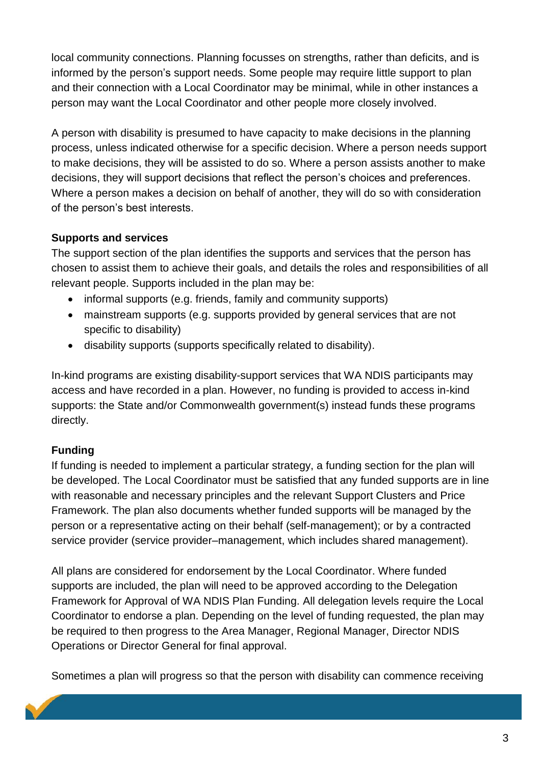local community connections. Planning focusses on strengths, rather than deficits, and is informed by the person's support needs. Some people may require little support to plan and their connection with a Local Coordinator may be minimal, while in other instances a person may want the Local Coordinator and other people more closely involved.

A person with disability is presumed to have capacity to make decisions in the planning process, unless indicated otherwise for a specific decision. Where a person needs support to make decisions, they will be assisted to do so. Where a person assists another to make decisions, they will support decisions that reflect the person's choices and preferences. Where a person makes a decision on behalf of another, they will do so with consideration of the person's best interests.

#### **Supports and services**

The support section of the plan identifies the supports and services that the person has chosen to assist them to achieve their goals, and details the roles and responsibilities of all relevant people. Supports included in the plan may be:

- informal supports (e.g. friends, family and community supports)
- mainstream supports (e.g. supports provided by general services that are not specific to disability)
- disability supports (supports specifically related to disability).

In-kind programs are existing disability-support services that WA NDIS participants may access and have recorded in a plan. However, no funding is provided to access in-kind supports: the State and/or Commonwealth government(s) instead funds these programs directly.

#### **Funding**

If funding is needed to implement a particular strategy, a funding section for the plan will be developed. The Local Coordinator must be satisfied that any funded supports are in line with reasonable and necessary principles and the relevant Support Clusters and Price Framework. The plan also documents whether funded supports will be managed by the person or a representative acting on their behalf (self-management); or by a contracted service provider (service provider–management, which includes shared management).

All plans are considered for endorsement by the Local Coordinator. Where funded supports are included, the plan will need to be approved according to the Delegation Framework for Approval of WA NDIS Plan Funding. All delegation levels require the Local Coordinator to endorse a plan. Depending on the level of funding requested, the plan may be required to then progress to the Area Manager, Regional Manager, Director NDIS Operations or Director General for final approval.

Sometimes a plan will progress so that the person with disability can commence receiving

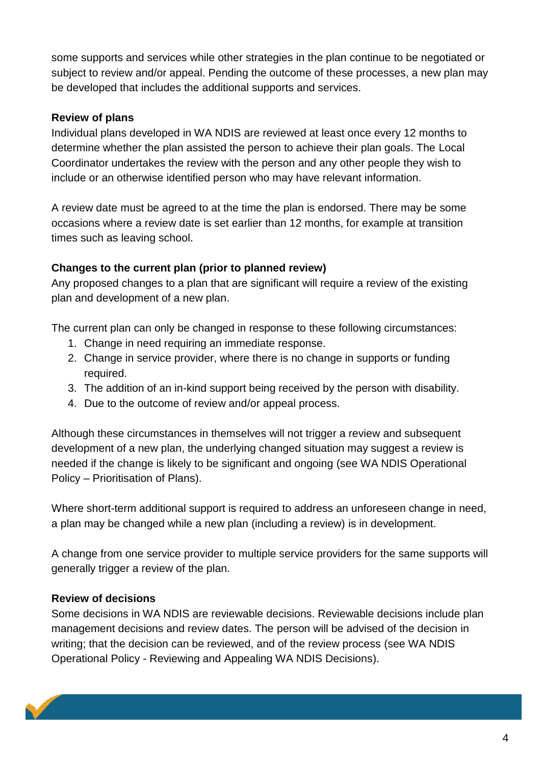some supports and services while other strategies in the plan continue to be negotiated or subject to review and/or appeal. Pending the outcome of these processes, a new plan may be developed that includes the additional supports and services.

#### **Review of plans**

Individual plans developed in WA NDIS are reviewed at least once every 12 months to determine whether the plan assisted the person to achieve their plan goals. The Local Coordinator undertakes the review with the person and any other people they wish to include or an otherwise identified person who may have relevant information.

A review date must be agreed to at the time the plan is endorsed. There may be some occasions where a review date is set earlier than 12 months, for example at transition times such as leaving school.

#### **Changes to the current plan (prior to planned review)**

Any proposed changes to a plan that are significant will require a review of the existing plan and development of a new plan.

The current plan can only be changed in response to these following circumstances:

- 1. Change in need requiring an immediate response.
- 2. Change in service provider, where there is no change in supports or funding required.
- 3. The addition of an in-kind support being received by the person with disability.
- 4. Due to the outcome of review and/or appeal process.

Although these circumstances in themselves will not trigger a review and subsequent development of a new plan, the underlying changed situation may suggest a review is needed if the change is likely to be significant and ongoing (see WA NDIS Operational Policy – Prioritisation of Plans).

Where short-term additional support is required to address an unforeseen change in need, a plan may be changed while a new plan (including a review) is in development.

A change from one service provider to multiple service providers for the same supports will generally trigger a review of the plan.

#### **Review of decisions**

Some decisions in WA NDIS are reviewable decisions. Reviewable decisions include plan management decisions and review dates. The person will be advised of the decision in writing; that the decision can be reviewed, and of the review process (see WA NDIS Operational Policy - Reviewing and Appealing WA NDIS Decisions).